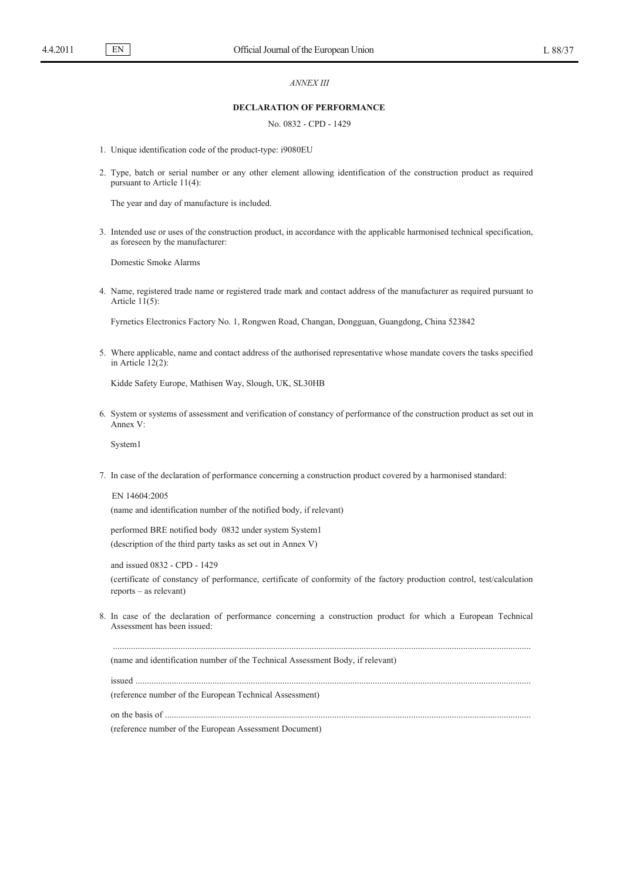#### *ANNEX III*

### **DECLARATION OF PERFORMANCE**

## No. 0832 - CPD - 1429

- 1. Unique identification code of the product-type: i9080EU
- 2. Type, batch or serial number or any other element allowing identification of the construction product as required pursuant to Article 11(4):

The year and day of manufacture is included.

3. Intended use or uses of the construction product, in accordance with the applicable harmonised technical specification, as foreseen by the manufacturer:

Domestic Smoke Alarms

4. Name, registered trade name or registered trade mark and contact address of the manufacturer as required pursuant to Article  $11(5)$ :

Fyrnetics Electronics Factory No. 1, Rongwen Road, Changan, Dongguan, Guangdong, China 523842

5. Where applicable, name and contact address of the authorised representative whose mandate covers the tasks specified in Article 12(2):

Kidde Safety Europe, Mathisen Way, Slough, UK, SL30HB

6. System or systems of assessment and verification of constancy of performance of the construction product as set out in Annex V:

System1

7. In case of the declaration of performance concerning a construction product covered by a harmonised standard:

EN 14604:2005 (name and identification number of the notified body, if relevant)

performed BRE notified body 0832 under system System1 (description of the third party tasks as set out in Annex V)

and issued 0832 - CPD - 1429 (certificate of constancy of performance, certificate of conformity of the factory production control, test/calculation reports – as relevant)

8. In case of the declaration of performance concerning a construction product for which a European Technical Assessment has been issued:

.........................................................................................................................................................................................

(name and identification number of the Technical Assessment Body, if relevant)

issued ...............................................................................................................................................................................

(reference number of the European Technical Assessment)

on the basis of ..................................................................................................................................................................

(reference number of the European Assessment Document)